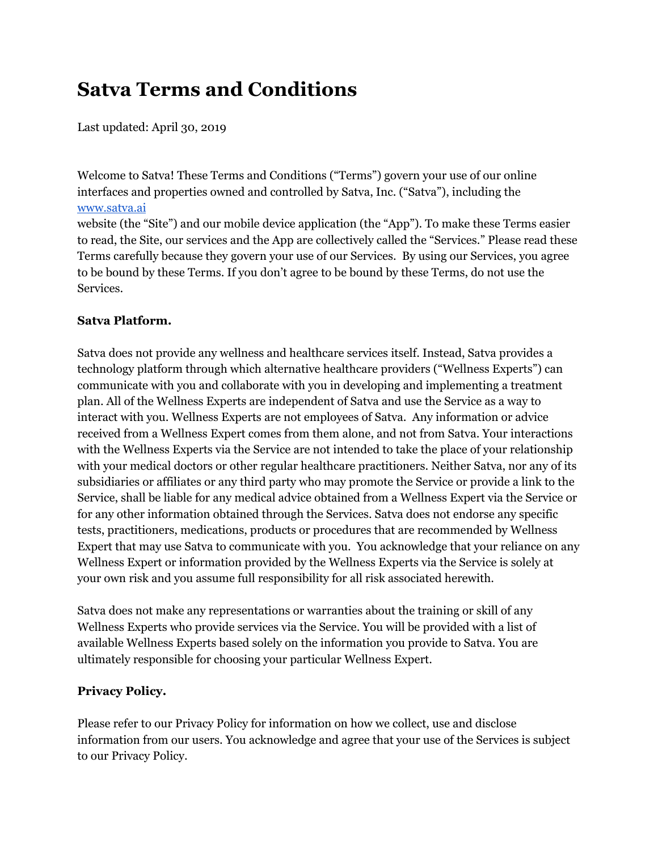# **Satva Terms and Conditions**

Last updated: April 30, 2019

Welcome to Satva! These Terms and Conditions ("Terms") govern your use of our online interfaces and properties owned and controlled by Satva, Inc. ("Satva"), including the [www.satva.ai](http://www.satva.ai/)

website (the "Site") and our mobile device application (the "App"). To make these Terms easier to read, the Site, our services and the App are collectively called the "Services." Please read these Terms carefully because they govern your use of our Services. By using our Services, you agree to be bound by these Terms. If you don't agree to be bound by these Terms, do not use the Services.

# **Satva Platform.**

Satva does not provide any wellness and healthcare services itself. Instead, Satva provides a technology platform through which alternative healthcare providers ("Wellness Experts") can communicate with you and collaborate with you in developing and implementing a treatment plan. All of the Wellness Experts are independent of Satva and use the Service as a way to interact with you. Wellness Experts are not employees of Satva. Any information or advice received from a Wellness Expert comes from them alone, and not from Satva. Your interactions with the Wellness Experts via the Service are not intended to take the place of your relationship with your medical doctors or other regular healthcare practitioners. Neither Satva, nor any of its subsidiaries or affiliates or any third party who may promote the Service or provide a link to the Service, shall be liable for any medical advice obtained from a Wellness Expert via the Service or for any other information obtained through the Services. Satva does not endorse any specific tests, practitioners, medications, products or procedures that are recommended by Wellness Expert that may use Satva to communicate with you. You acknowledge that your reliance on any Wellness Expert or information provided by the Wellness Experts via the Service is solely at your own risk and you assume full responsibility for all risk associated herewith.

Satva does not make any representations or warranties about the training or skill of any Wellness Experts who provide services via the Service. You will be provided with a list of available Wellness Experts based solely on the information you provide to Satva. You are ultimately responsible for choosing your particular Wellness Expert.

# **Privacy Policy.**

Please refer to our Privacy Policy for information on how we collect, use and disclose information from our users. You acknowledge and agree that your use of the Services is subject to our Privacy Policy.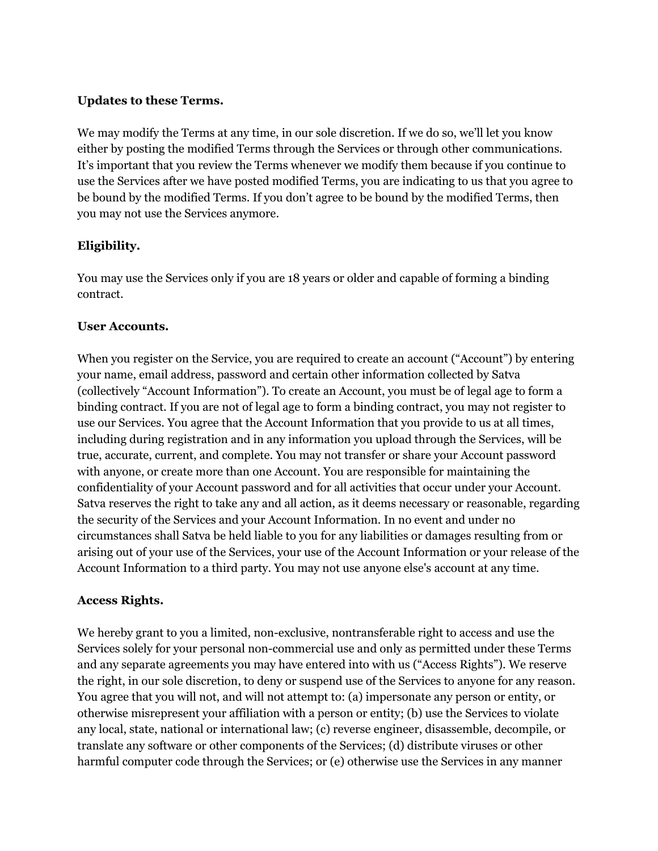#### **Updates to these Terms.**

We may modify the Terms at any time, in our sole discretion. If we do so, we'll let you know either by posting the modified Terms through the Services or through other communications. It's important that you review the Terms whenever we modify them because if you continue to use the Services after we have posted modified Terms, you are indicating to us that you agree to be bound by the modified Terms. If you don't agree to be bound by the modified Terms, then you may not use the Services anymore.

# **Eligibility.**

You may use the Services only if you are 18 years or older and capable of forming a binding contract.

#### **User Accounts.**

When you register on the Service, you are required to create an account ("Account") by entering your name, email address, password and certain other information collected by Satva (collectively "Account Information"). To create an Account, you must be of legal age to form a binding contract. If you are not of legal age to form a binding contract, you may not register to use our Services. You agree that the Account Information that you provide to us at all times, including during registration and in any information you upload through the Services, will be true, accurate, current, and complete. You may not transfer or share your Account password with anyone, or create more than one Account. You are responsible for maintaining the confidentiality of your Account password and for all activities that occur under your Account. Satva reserves the right to take any and all action, as it deems necessary or reasonable, regarding the security of the Services and your Account Information. In no event and under no circumstances shall Satva be held liable to you for any liabilities or damages resulting from or arising out of your use of the Services, your use of the Account Information or your release of the Account Information to a third party. You may not use anyone else's account at any time.

# **Access Rights.**

We hereby grant to you a limited, non-exclusive, nontransferable right to access and use the Services solely for your personal non-commercial use and only as permitted under these Terms and any separate agreements you may have entered into with us ("Access Rights"). We reserve the right, in our sole discretion, to deny or suspend use of the Services to anyone for any reason. You agree that you will not, and will not attempt to: (a) impersonate any person or entity, or otherwise misrepresent your affiliation with a person or entity; (b) use the Services to violate any local, state, national or international law; (c) reverse engineer, disassemble, decompile, or translate any software or other components of the Services; (d) distribute viruses or other harmful computer code through the Services; or (e) otherwise use the Services in any manner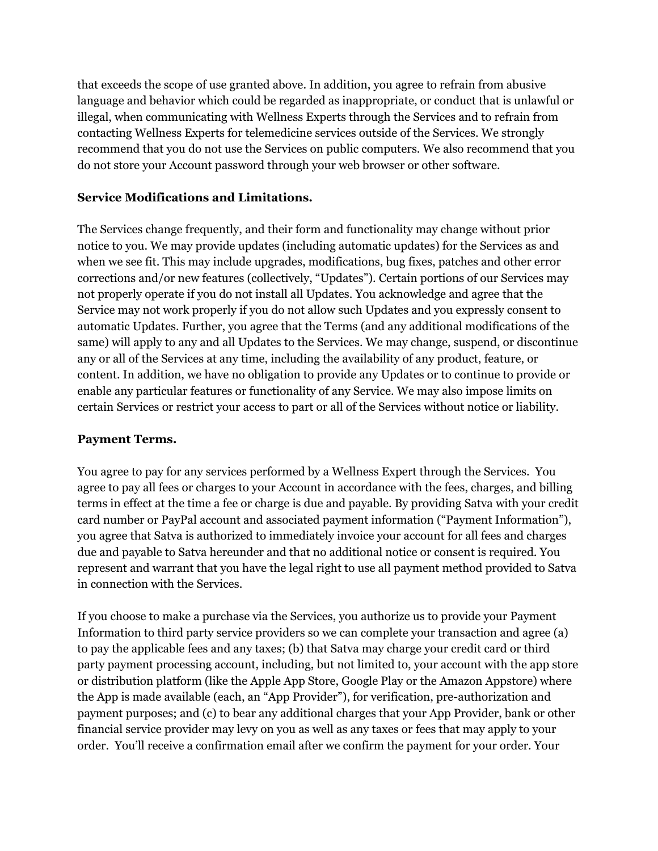that exceeds the scope of use granted above. In addition, you agree to refrain from abusive language and behavior which could be regarded as inappropriate, or conduct that is unlawful or illegal, when communicating with Wellness Experts through the Services and to refrain from contacting Wellness Experts for telemedicine services outside of the Services. We strongly recommend that you do not use the Services on public computers. We also recommend that you do not store your Account password through your web browser or other software.

# **Service Modifications and Limitations.**

The Services change frequently, and their form and functionality may change without prior notice to you. We may provide updates (including automatic updates) for the Services as and when we see fit. This may include upgrades, modifications, bug fixes, patches and other error corrections and/or new features (collectively, "Updates"). Certain portions of our Services may not properly operate if you do not install all Updates. You acknowledge and agree that the Service may not work properly if you do not allow such Updates and you expressly consent to automatic Updates. Further, you agree that the Terms (and any additional modifications of the same) will apply to any and all Updates to the Services. We may change, suspend, or discontinue any or all of the Services at any time, including the availability of any product, feature, or content. In addition, we have no obligation to provide any Updates or to continue to provide or enable any particular features or functionality of any Service. We may also impose limits on certain Services or restrict your access to part or all of the Services without notice or liability.

# **Payment Terms.**

You agree to pay for any services performed by a Wellness Expert through the Services. You agree to pay all fees or charges to your Account in accordance with the fees, charges, and billing terms in effect at the time a fee or charge is due and payable. By providing Satva with your credit card number or PayPal account and associated payment information ("Payment Information"), you agree that Satva is authorized to immediately invoice your account for all fees and charges due and payable to Satva hereunder and that no additional notice or consent is required. You represent and warrant that you have the legal right to use all payment method provided to Satva in connection with the Services.

If you choose to make a purchase via the Services, you authorize us to provide your Payment Information to third party service providers so we can complete your transaction and agree (a) to pay the applicable fees and any taxes; (b) that Satva may charge your credit card or third party payment processing account, including, but not limited to, your account with the app store or distribution platform (like the Apple App Store, Google Play or the Amazon Appstore) where the App is made available (each, an "App Provider"), for verification, pre-authorization and payment purposes; and (c) to bear any additional charges that your App Provider, bank or other financial service provider may levy on you as well as any taxes or fees that may apply to your order. You'll receive a confirmation email after we confirm the payment for your order. Your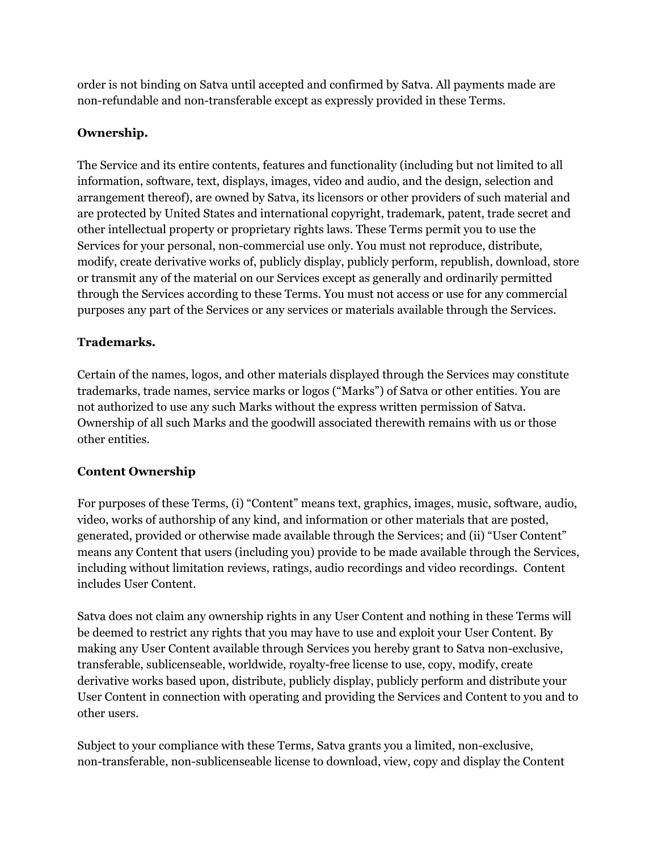order is not binding on Satva until accepted and confirmed by Satva. All payments made are non-refundable and non-transferable except as expressly provided in these Terms.

# **Ownership.**

The Service and its entire contents, features and functionality (including but not limited to all information, software, text, displays, images, video and audio, and the design, selection and arrangement thereof), are owned by Satva, its licensors or other providers of such material and are protected by United States and international copyright, trademark, patent, trade secret and other intellectual property or proprietary rights laws. These Terms permit you to use the Services for your personal, non-commercial use only. You must not reproduce, distribute, modify, create derivative works of, publicly display, publicly perform, republish, download, store or transmit any of the material on our Services except as generally and ordinarily permitted through the Services according to these Terms. You must not access or use for any commercial purposes any part of the Services or any services or materials available through the Services.

# **Trademarks.**

Certain of the names, logos, and other materials displayed through the Services may constitute trademarks, trade names, service marks or logos ("Marks") of Satva or other entities. You are not authorized to use any such Marks without the express written permission of Satva. Ownership of all such Marks and the goodwill associated therewith remains with us or those other entities.

# **Content Ownership**

For purposes of these Terms, (i) "Content" means text, graphics, images, music, software, audio, video, works of authorship of any kind, and information or other materials that are posted, generated, provided or otherwise made available through the Services; and (ii) "User Content" means any Content that users (including you) provide to be made available through the Services, including without limitation reviews, ratings, audio recordings and video recordings. Content includes User Content.

Satva does not claim any ownership rights in any User Content and nothing in these Terms will be deemed to restrict any rights that you may have to use and exploit your User Content. By making any User Content available through Services you hereby grant to Satva non-exclusive, transferable, sublicenseable, worldwide, royalty-free license to use, copy, modify, create derivative works based upon, distribute, publicly display, publicly perform and distribute your User Content in connection with operating and providing the Services and Content to you and to other users.

Subject to your compliance with these Terms, Satva grants you a limited, non-exclusive, non-transferable, non-sublicenseable license to download, view, copy and display the Content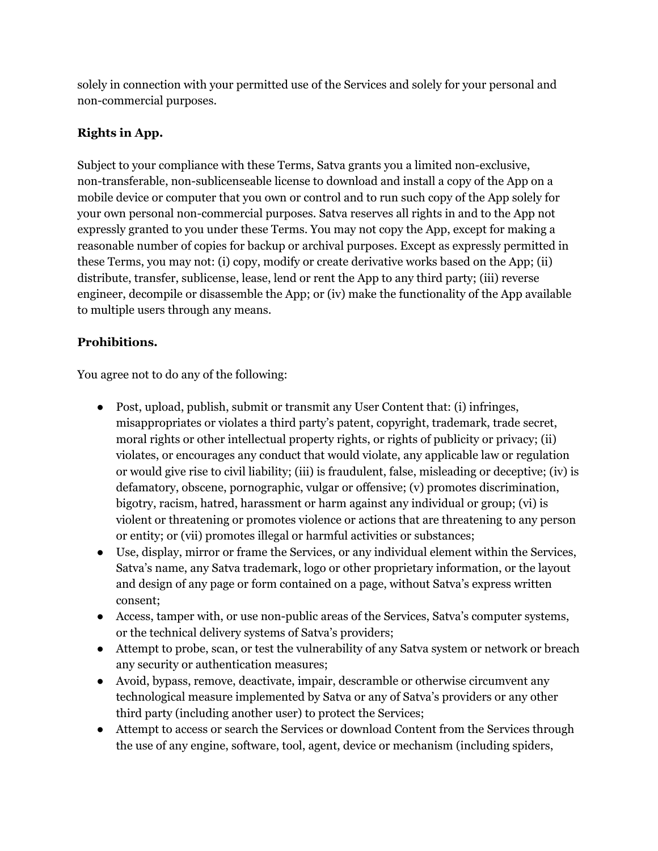solely in connection with your permitted use of the Services and solely for your personal and non-commercial purposes.

# **Rights in App.**

Subject to your compliance with these Terms, Satva grants you a limited non-exclusive, non-transferable, non-sublicenseable license to download and install a copy of the App on a mobile device or computer that you own or control and to run such copy of the App solely for your own personal non-commercial purposes. Satva reserves all rights in and to the App not expressly granted to you under these Terms. You may not copy the App, except for making a reasonable number of copies for backup or archival purposes. Except as expressly permitted in these Terms, you may not: (i) copy, modify or create derivative works based on the App; (ii) distribute, transfer, sublicense, lease, lend or rent the App to any third party; (iii) reverse engineer, decompile or disassemble the App; or (iv) make the functionality of the App available to multiple users through any means.

# **Prohibitions.**

You agree not to do any of the following:

- Post, upload, publish, submit or transmit any User Content that: (i) infringes, misappropriates or violates a third party's patent, copyright, trademark, trade secret, moral rights or other intellectual property rights, or rights of publicity or privacy; (ii) violates, or encourages any conduct that would violate, any applicable law or regulation or would give rise to civil liability; (iii) is fraudulent, false, misleading or deceptive; (iv) is defamatory, obscene, pornographic, vulgar or offensive; (v) promotes discrimination, bigotry, racism, hatred, harassment or harm against any individual or group; (vi) is violent or threatening or promotes violence or actions that are threatening to any person or entity; or (vii) promotes illegal or harmful activities or substances;
- Use, display, mirror or frame the Services, or any individual element within the Services, Satva's name, any Satva trademark, logo or other proprietary information, or the layout and design of any page or form contained on a page, without Satva's express written consent;
- Access, tamper with, or use non-public areas of the Services, Satva's computer systems, or the technical delivery systems of Satva's providers;
- Attempt to probe, scan, or test the vulnerability of any Satva system or network or breach any security or authentication measures;
- Avoid, bypass, remove, deactivate, impair, descramble or otherwise circumvent any technological measure implemented by Satva or any of Satva's providers or any other third party (including another user) to protect the Services;
- Attempt to access or search the Services or download Content from the Services through the use of any engine, software, tool, agent, device or mechanism (including spiders,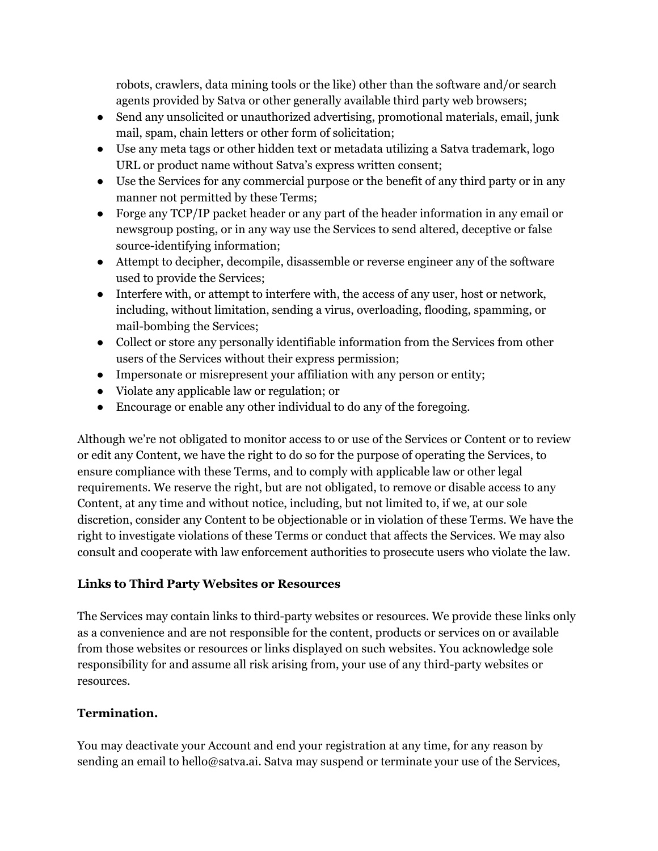robots, crawlers, data mining tools or the like) other than the software and/or search agents provided by Satva or other generally available third party web browsers;

- Send any unsolicited or unauthorized advertising, promotional materials, email, junk mail, spam, chain letters or other form of solicitation;
- Use any meta tags or other hidden text or metadata utilizing a Satva trademark, logo URL or product name without Satva's express written consent;
- Use the Services for any commercial purpose or the benefit of any third party or in any manner not permitted by these Terms;
- Forge any TCP/IP packet header or any part of the header information in any email or newsgroup posting, or in any way use the Services to send altered, deceptive or false source-identifying information;
- Attempt to decipher, decompile, disassemble or reverse engineer any of the software used to provide the Services;
- Interfere with, or attempt to interfere with, the access of any user, host or network, including, without limitation, sending a virus, overloading, flooding, spamming, or mail-bombing the Services;
- Collect or store any personally identifiable information from the Services from other users of the Services without their express permission;
- Impersonate or misrepresent your affiliation with any person or entity;
- Violate any applicable law or regulation; or
- Encourage or enable any other individual to do any of the foregoing.

Although we're not obligated to monitor access to or use of the Services or Content or to review or edit any Content, we have the right to do so for the purpose of operating the Services, to ensure compliance with these Terms, and to comply with applicable law or other legal requirements. We reserve the right, but are not obligated, to remove or disable access to any Content, at any time and without notice, including, but not limited to, if we, at our sole discretion, consider any Content to be objectionable or in violation of these Terms. We have the right to investigate violations of these Terms or conduct that affects the Services. We may also consult and cooperate with law enforcement authorities to prosecute users who violate the law.

# **Links to Third Party Websites or Resources**

The Services may contain links to third-party websites or resources. We provide these links only as a convenience and are not responsible for the content, products or services on or available from those websites or resources or links displayed on such websites. You acknowledge sole responsibility for and assume all risk arising from, your use of any third-party websites or resources.

# **Termination.**

You may deactivate your Account and end your registration at any time, for any reason by sending an email to hello@satva.ai. Satva may suspend or terminate your use of the Services,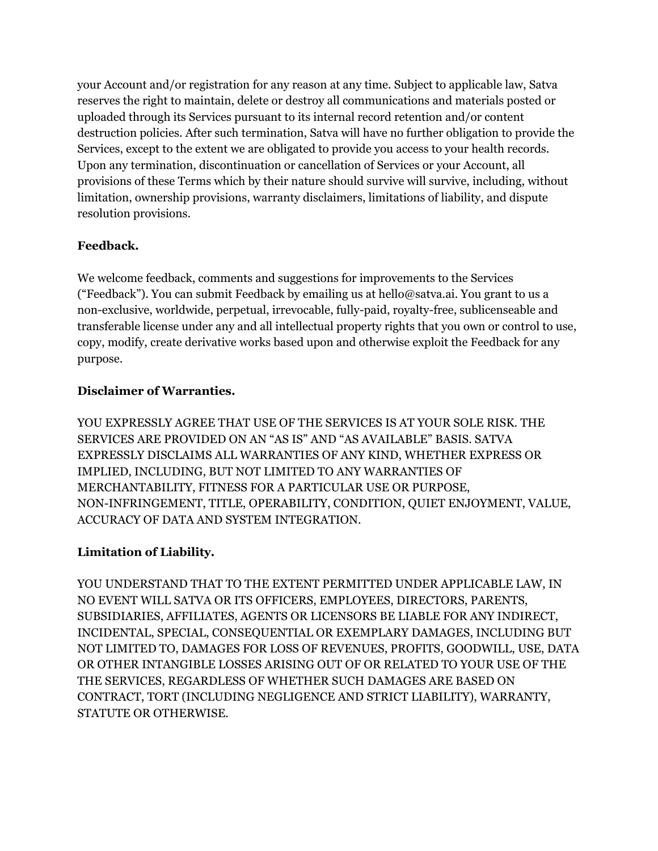your Account and/or registration for any reason at any time. Subject to applicable law, Satva reserves the right to maintain, delete or destroy all communications and materials posted or uploaded through its Services pursuant to its internal record retention and/or content destruction policies. After such termination, Satva will have no further obligation to provide the Services, except to the extent we are obligated to provide you access to your health records. Upon any termination, discontinuation or cancellation of Services or your Account, all provisions of these Terms which by their nature should survive will survive, including, without limitation, ownership provisions, warranty disclaimers, limitations of liability, and dispute resolution provisions.

# **Feedback.**

We welcome feedback, comments and suggestions for improvements to the Services ("Feedback"). You can submit Feedback by emailing us at hello@satva.ai. You grant to us a non-exclusive, worldwide, perpetual, irrevocable, fully-paid, royalty-free, sublicenseable and transferable license under any and all intellectual property rights that you own or control to use, copy, modify, create derivative works based upon and otherwise exploit the Feedback for any purpose.

# **Disclaimer of Warranties.**

YOU EXPRESSLY AGREE THAT USE OF THE SERVICES IS AT YOUR SOLE RISK. THE SERVICES ARE PROVIDED ON AN "AS IS" AND "AS AVAILABLE" BASIS. SATVA EXPRESSLY DISCLAIMS ALL WARRANTIES OF ANY KIND, WHETHER EXPRESS OR IMPLIED, INCLUDING, BUT NOT LIMITED TO ANY WARRANTIES OF MERCHANTABILITY, FITNESS FOR A PARTICULAR USE OR PURPOSE, NON-INFRINGEMENT, TITLE, OPERABILITY, CONDITION, QUIET ENJOYMENT, VALUE, ACCURACY OF DATA AND SYSTEM INTEGRATION.

# **Limitation of Liability.**

YOU UNDERSTAND THAT TO THE EXTENT PERMITTED UNDER APPLICABLE LAW, IN NO EVENT WILL SATVA OR ITS OFFICERS, EMPLOYEES, DIRECTORS, PARENTS, SUBSIDIARIES, AFFILIATES, AGENTS OR LICENSORS BE LIABLE FOR ANY INDIRECT, INCIDENTAL, SPECIAL, CONSEQUENTIAL OR EXEMPLARY DAMAGES, INCLUDING BUT NOT LIMITED TO, DAMAGES FOR LOSS OF REVENUES, PROFITS, GOODWILL, USE, DATA OR OTHER INTANGIBLE LOSSES ARISING OUT OF OR RELATED TO YOUR USE OF THE THE SERVICES, REGARDLESS OF WHETHER SUCH DAMAGES ARE BASED ON CONTRACT, TORT (INCLUDING NEGLIGENCE AND STRICT LIABILITY), WARRANTY, STATUTE OR OTHERWISE.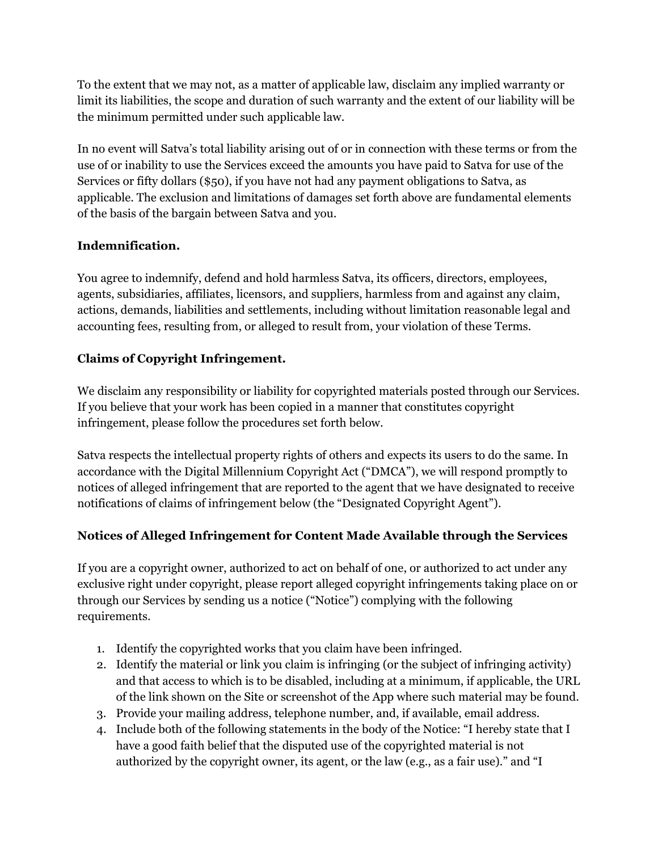To the extent that we may not, as a matter of applicable law, disclaim any implied warranty or limit its liabilities, the scope and duration of such warranty and the extent of our liability will be the minimum permitted under such applicable law.

In no event will Satva's total liability arising out of or in connection with these terms or from the use of or inability to use the Services exceed the amounts you have paid to Satva for use of the Services or fifty dollars (\$50), if you have not had any payment obligations to Satva, as applicable. The exclusion and limitations of damages set forth above are fundamental elements of the basis of the bargain between Satva and you.

# **Indemnification.**

You agree to indemnify, defend and hold harmless Satva, its officers, directors, employees, agents, subsidiaries, affiliates, licensors, and suppliers, harmless from and against any claim, actions, demands, liabilities and settlements, including without limitation reasonable legal and accounting fees, resulting from, or alleged to result from, your violation of these Terms.

# **Claims of Copyright Infringement.**

We disclaim any responsibility or liability for copyrighted materials posted through our Services. If you believe that your work has been copied in a manner that constitutes copyright infringement, please follow the procedures set forth below.

Satva respects the intellectual property rights of others and expects its users to do the same. In accordance with the Digital Millennium Copyright Act ("DMCA"), we will respond promptly to notices of alleged infringement that are reported to the agent that we have designated to receive notifications of claims of infringement below (the "Designated Copyright Agent").

# **Notices of Alleged Infringement for Content Made Available through the Services**

If you are a copyright owner, authorized to act on behalf of one, or authorized to act under any exclusive right under copyright, please report alleged copyright infringements taking place on or through our Services by sending us a notice ("Notice") complying with the following requirements.

- 1. Identify the copyrighted works that you claim have been infringed.
- 2. Identify the material or link you claim is infringing (or the subject of infringing activity) and that access to which is to be disabled, including at a minimum, if applicable, the URL of the link shown on the Site or screenshot of the App where such material may be found.
- 3. Provide your mailing address, telephone number, and, if available, email address.
- 4. Include both of the following statements in the body of the Notice: "I hereby state that I have a good faith belief that the disputed use of the copyrighted material is not authorized by the copyright owner, its agent, or the law (e.g., as a fair use)." and "I